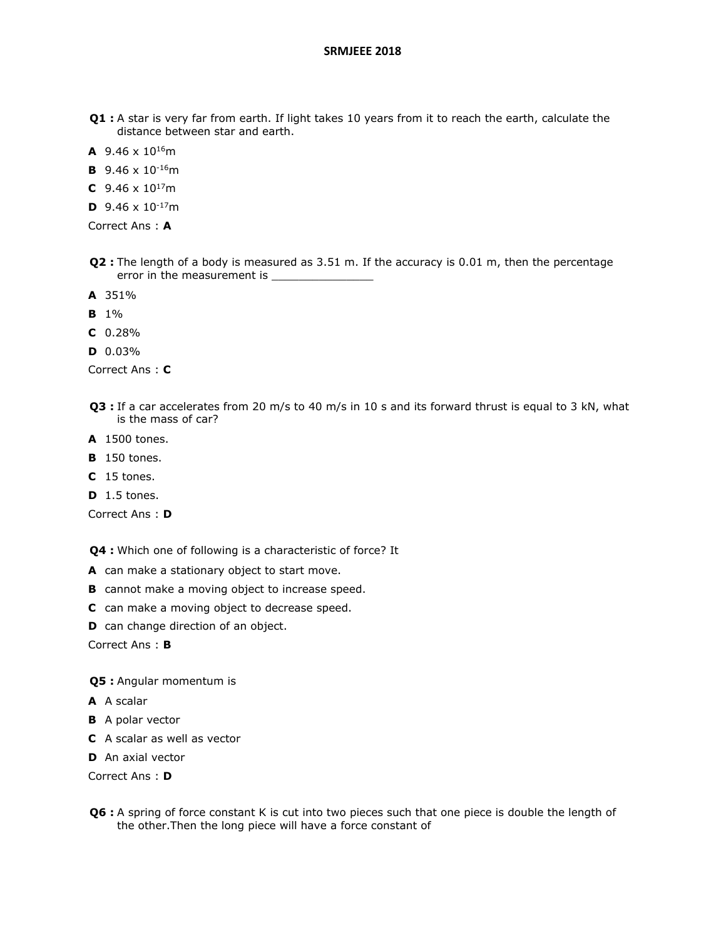- **Q1 :** A star is very far from earth. If light takes 10 years from it to reach the earth, calculate the distance between star and earth.
- **A** 9.46 x 10<sup>16</sup>m
- **B** 9.46 x 10-16m
- **C** 9.46  $\times$  10<sup>17</sup>m
- **D** 9.46  $\times$  10<sup>-17</sup>m

Correct Ans : **A**

- **Q2 :** The length of a body is measured as 3.51 m. If the accuracy is 0.01 m, then the percentage error in the measurement is
- **A** 351%
- **B** 1%
- **C** 0.28%
- **D** 0.03%

Correct Ans : **C**

- **Q3 :** If a car accelerates from 20 m/s to 40 m/s in 10 s and its forward thrust is equal to 3 kN, what is the mass of car?
- **A** 1500 tones.
- **B** 150 tones.
- **C** 15 tones.
- **D** 1.5 tones.

Correct Ans : **D**

**Q4 :** Which one of following is a characteristic of force? It

- **A** can make a stationary object to start move.
- **B** cannot make a moving object to increase speed.
- **C** can make a moving object to decrease speed.
- **D** can change direction of an object.

Correct Ans : **B**

**Q5 :** Angular momentum is

- **A** A scalar
- **B** A polar vector
- **C** A scalar as well as vector
- **D** An axial vector

Correct Ans : **D**

**Q6 :** A spring of force constant K is cut into two pieces such that one piece is double the length of the other.Then the long piece will have a force constant of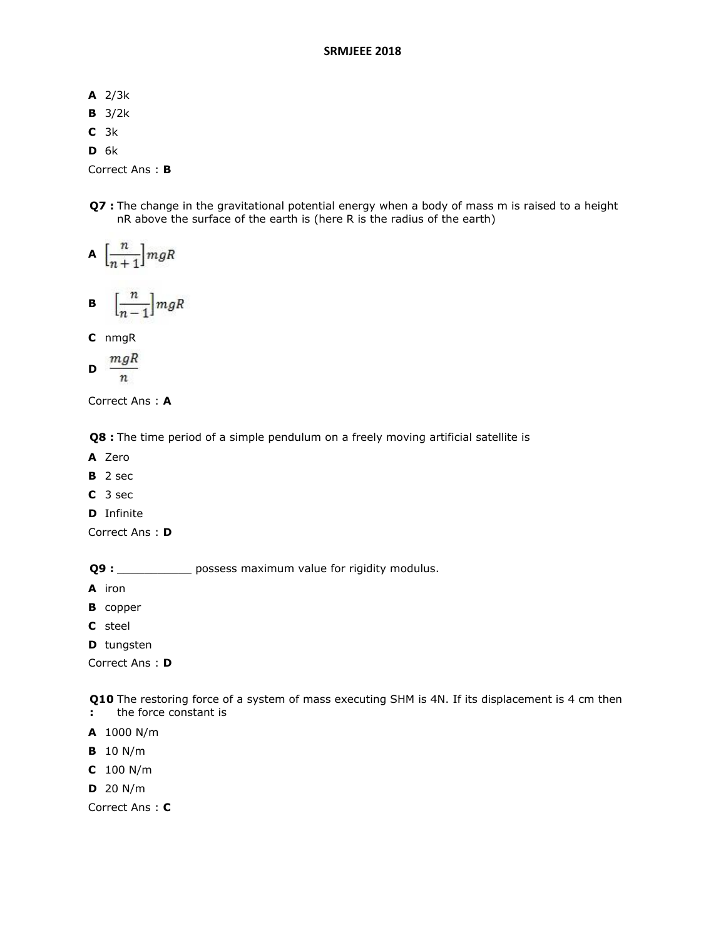- **A** 2/3k
- **B** 3/2k
- **C** 3k
- **D** 6k

Correct Ans : **B**

**Q7 :** The change in the gravitational potential energy when a body of mass m is raised to a height nR above the surface of the earth is (here R is the radius of the earth)

$$
\mathbf{A}\ \left[\frac{n}{n+1}\right]mgR
$$

$$
\mathbf{B} = \Big[\frac{n}{n-1}\Big] mgR
$$

**C** nmgR

$$
\mathbf{D} \ \frac{mgR}{n}
$$

Correct Ans : **A**

**Q8 :** The time period of a simple pendulum on a freely moving artificial satellite is

- **A** Zero
- **B** 2 sec
- **C** 3 sec
- **D** Infinite

Correct Ans : **D**

**Q9 :** \_\_\_\_\_\_\_\_\_\_\_\_\_ possess maximum value for rigidity modulus.

- **A** iron
- **B** copper
- **C** steel

**D** tungsten

Correct Ans : **D**

**Q10** The restoring force of a system of mass executing SHM is 4N. If its displacement is 4 cm then

- **:** the force constant is
- **A** 1000 N/m
- **B** 10 N/m
- **C** 100 N/m
- **D** 20 N/m

Correct Ans : **C**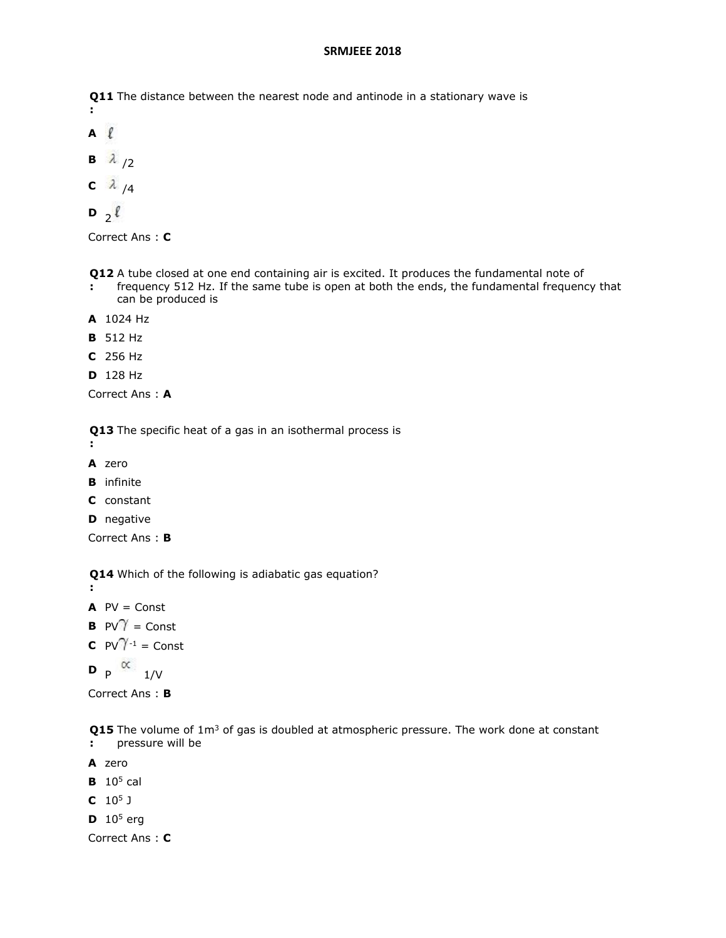**Q11**  The distance between the nearest node and antinode in a stationary wave is **:**

- **A**  $\mathbf{B} \quad \lambda / 2$
- $C \lambda$  /4

$$
\mathbf{D}_{2}^{\ell}
$$

Correct Ans : **C**

- **Q12**  A tube closed at one end containing air is excited. It produces the fundamental note of
- **:** frequency 512 Hz. If the same tube is open at both the ends, the fundamental frequency that can be produced is
- **A** 1024 Hz
- **B** 512 Hz
- **C** 256 Hz
- **D** 128 Hz

Correct Ans : **A**

**Q13**  The specific heat of a gas in an isothermal process is

- **:**
- **A** zero
- **B** infinite
- **C** constant
- **D** negative

Correct Ans : **B**

**Q14**  Which of the following is adiabatic gas equation?

**:**

- $AV = Const$
- **B**  $PV^{\gamma} =$  Const
- **C**  $PV^{\gamma-1} =$  Const

**D**  $\uprho \propto 1/V$ 

Correct Ans : **B**

**Q15** The volume of 1m<sup>3</sup> of gas is doubled at atmospheric pressure. The work done at constant **:** pressure will be

- **A** zero
- **B** 10<sup>5</sup> cal
- **C** 10<sup>5</sup> J
- **D**  $10^5$  erg

Correct Ans : **C**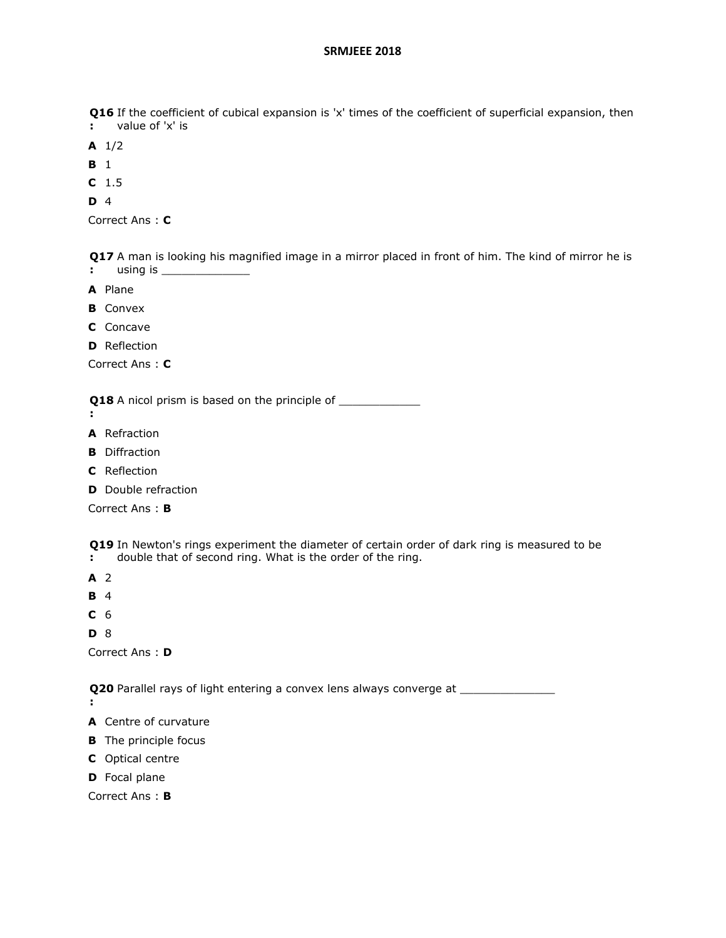**Q16** If the coefficient of cubical expansion is 'x' times of the coefficient of superficial expansion, then

- **:** value of 'x' is
- **A** 1/2
- **B** 1
- **C** 1.5
- **D** 4

```
Correct Ans : C
```
**Q17**  A man is looking his magnified image in a mirror placed in front of him. The kind of mirror he is **:** using is \_\_\_\_\_\_\_\_\_\_\_\_\_

- **A** Plane
- **B** Convex
- **C** Concave
- **D** Reflection

Correct Ans : **C**

**Q18** A nicol prism is based on the principle of \_\_\_\_\_\_\_\_\_\_\_\_\_\_\_\_\_\_\_\_\_\_\_\_\_\_\_\_\_\_\_\_\_

- **:**
- **A** Refraction
- **B** Diffraction
- **C** Reflection
- **D** Double refraction

Correct Ans : **B**

**Q19**  In Newton's rings experiment the diameter of certain order of dark ring is measured to be

- **:** double that of second ring. What is the order of the ring.
- **A** 2
- **B** 4
- **C** 6
- **D** 8

Correct Ans : **D**

**Q20** Parallel rays of light entering a convex lens always converge at \_\_\_\_\_\_\_\_\_\_\_\_\_\_\_

**:**

- **A** Centre of curvature
- **B** The principle focus
- **C** Optical centre
- **D** Focal plane

Correct Ans : **B**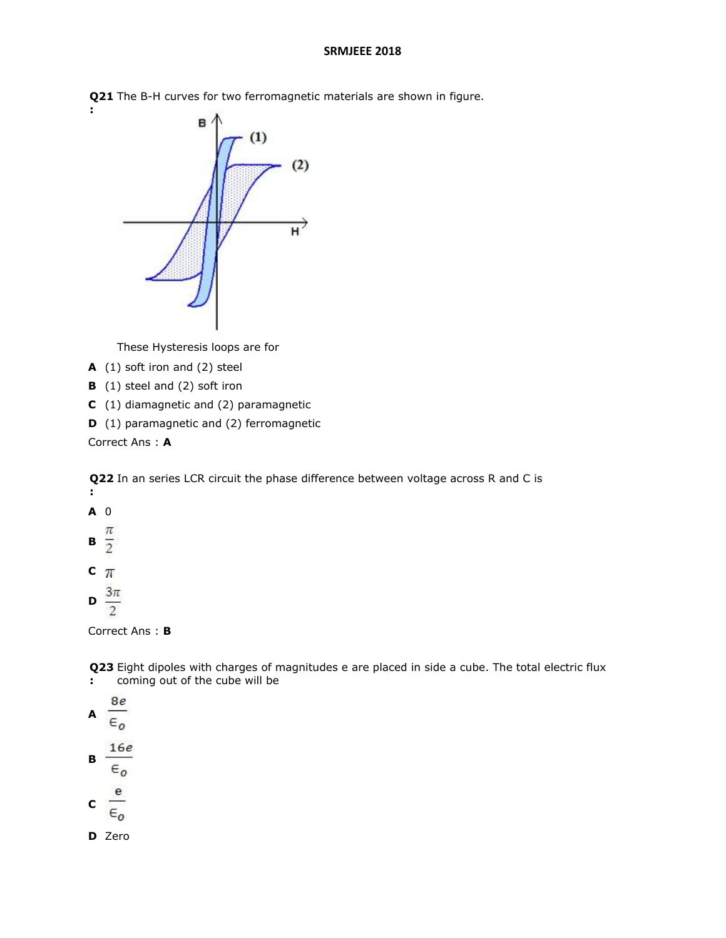**Q21**  The B-H curves for two ferromagnetic materials are shown in figure.



These Hysteresis loops are for

- **A** (1) soft iron and (2) steel
- **B** (1) steel and (2) soft iron
- **C** (1) diamagnetic and (2) paramagnetic
- **D** (1) paramagnetic and (2) ferromagnetic

Correct Ans : **A**

**Q22**  In an series LCR circuit the phase difference between voltage across R and C is **:**

**A** 0  $\mathbf{B} \frac{\pi}{2}$  $c_{\pi}$ 

**:**



Correct Ans : **B**

**Q23**  Eight dipoles with charges of magnitudes e are placed in side a cube. The total electric flux **:** coming out of the cube will be

8e **A**  $\epsilon$ <sub>o</sub>  $16e$ **B**  $\epsilon_{0}$  $\frac{e}{\epsilon_o}$ 

**D** Zero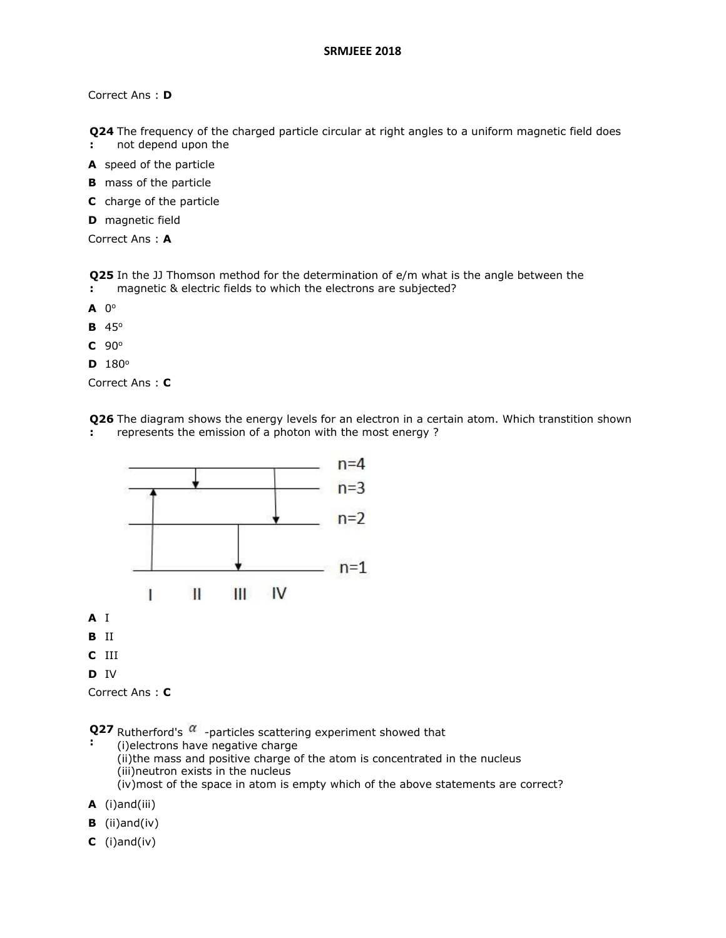Correct Ans : **D**

**Q24**  The frequency of the charged particle circular at right angles to a uniform magnetic field does

- **:** not depend upon the
- **A** speed of the particle
- **B** mass of the particle
- **C** charge of the particle
- **D** magnetic field

Correct Ans : **A**

**Q25**  In the JJ Thomson method for the determination of e/m what is the angle between the **:** magnetic & electric fields to which the electrons are subjected?

- $\mathbf{A}$  0<sup>o</sup>
- **B** 45<sup>o</sup>
- **C** 90<sup>o</sup>
- $D$  180 $^{\circ}$

Correct Ans : **C**

**Q26**  The diagram shows the energy levels for an electron in a certain atom. Which transtition shown **:** represents the emission of a photon with the most energy ?



**D** IV

```
Correct Ans : C
```
**Q27** Rutherford's  $\alpha$  -particles scattering experiment showed that

**:** (i)electrons have negative charge (ii)the mass and positive charge of the atom is concentrated in the nucleus (iii)neutron exists in the nucleus (iv)most of the space in atom is empty which of the above statements are correct?

**A** (i)and(iii)

- **B** (ii)and(iv)
- **C** (i)and(iv)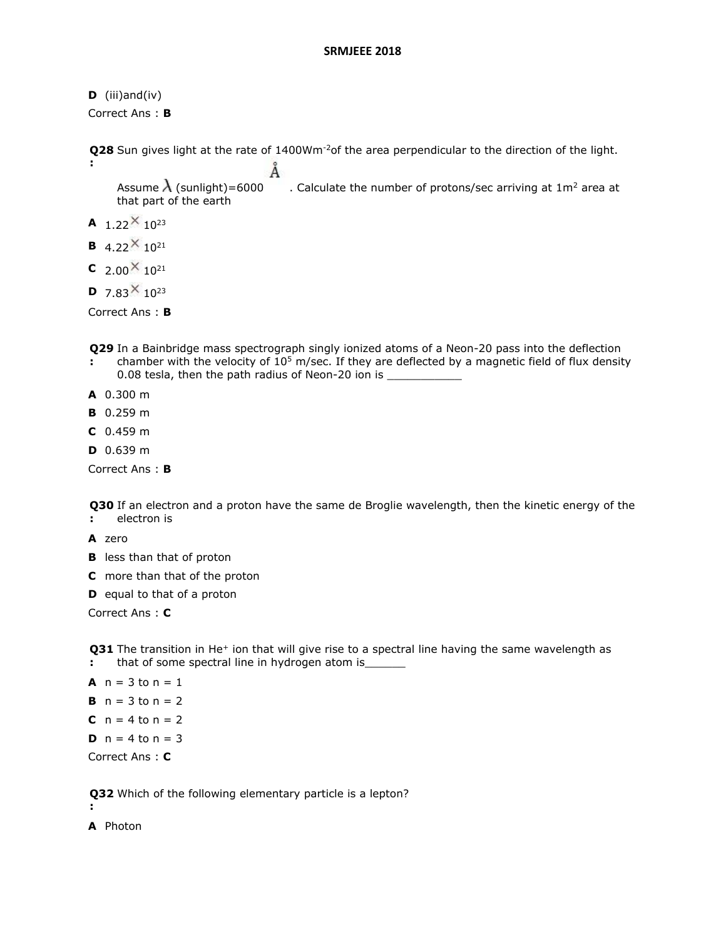```
D (iii)and(iv)
Correct Ans : B
```
**Q28** Sun gives light at the rate of 1400Wm<sup>-2</sup>of the area perpendicular to the direction of the light. **:** Ă Assume  $\lambda$  (sunlight)=6000 . Calculate the number of protons/sec arriving at 1m<sup>2</sup> area at that part of the earth **A**  $1.22 \times 10^{23}$ **B** 4.22 $\times$  10<sup>21</sup>

**C**  $2.00 \times 10^{21}$ 

**D**  $7.83 \times 10^{23}$ 

Correct Ans : **B**

**Q29**  In a Bainbridge mass spectrograph singly ionized atoms of a Neon-20 pass into the deflection

- **:** chamber with the velocity of  $10^5$  m/sec. If they are deflected by a magnetic field of flux density 0.08 tesla, then the path radius of Neon-20 ion is
- **A** 0.300 m
- **B** 0.259 m
- **C** 0.459 m
- **D** 0.639 m

Correct Ans : **B**

**Q30**  If an electron and a proton have the same de Broglie wavelength, then the kinetic energy of the **:** electron is

- **A** zero
- **B** less than that of proton
- **C** more than that of the proton
- **D** equal to that of a proton

Correct Ans : **C**

**Q31** The transition in He<sup>+</sup> ion that will give rise to a spectral line having the same wavelength as **:** that of some spectral line in hydrogen atom is\_

```
A n = 3 to n = 1B n = 3 to n = 2C n = 4 to n = 2D n = 4 to n = 3Correct Ans : C
```
**Q32**  Which of the following elementary particle is a lepton?

**:**

**A** Photon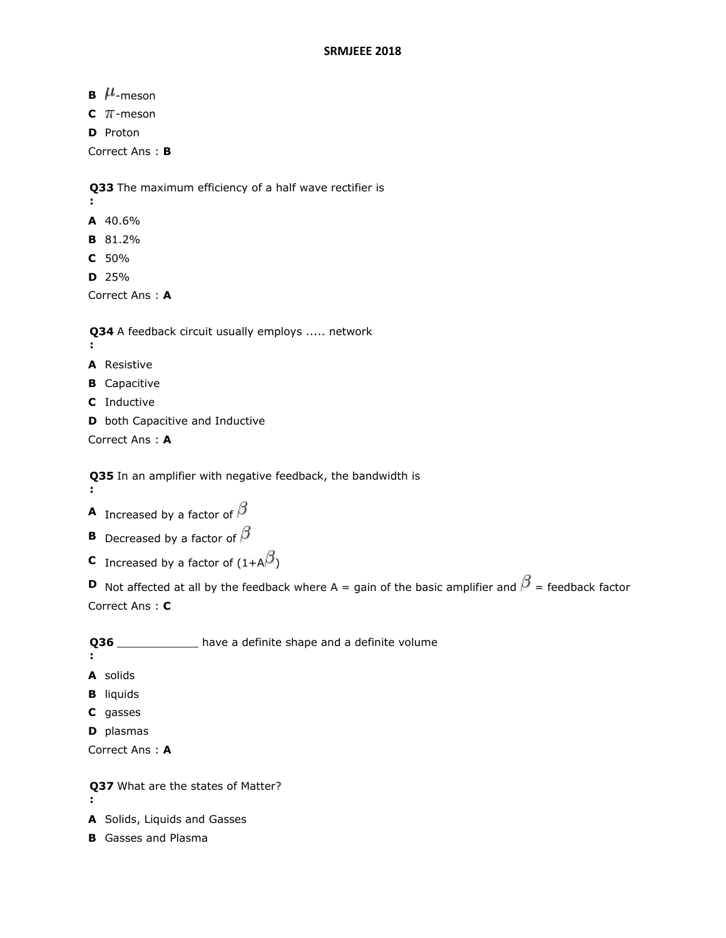**B**  $\mu$ -meson

 $C$   $\pi$ -meson

**D** Proton

Correct Ans : **B**

**Q33**  The maximum efficiency of a half wave rectifier is

- **:**
- **A** 40.6%
- **B** 81.2%
- **C** 50%
- **D** 25%

Correct Ans : **A**

**Q34**  A feedback circuit usually employs ..... network

- **:**
- **A** Resistive
- **B** Capacitive
- **C** Inductive
- **D** both Capacitive and Inductive

Correct Ans : **A**

**Q35**  In an amplifier with negative feedback, the bandwidth is **:**

- **A** Increased by a factor of  $\beta$
- **B** Decreased by a factor of  $\beta$
- **C** Increased by a factor of  $(1+A^{\beta})$

**D** Not affected at all by the feedback where A = gain of the basic amplifier and  $\beta$  = feedback factor Correct Ans : **C**

**Q36**  \_\_\_\_\_\_\_\_\_\_\_\_ have a definite shape and a definite volume

- **:**
- **A** solids
- **B** liquids
- **C** gasses
- **D** plasmas

Correct Ans : **A**

**Q37**  What are the states of Matter? **:**

- **A** Solids, Liquids and Gasses
- **B** Gasses and Plasma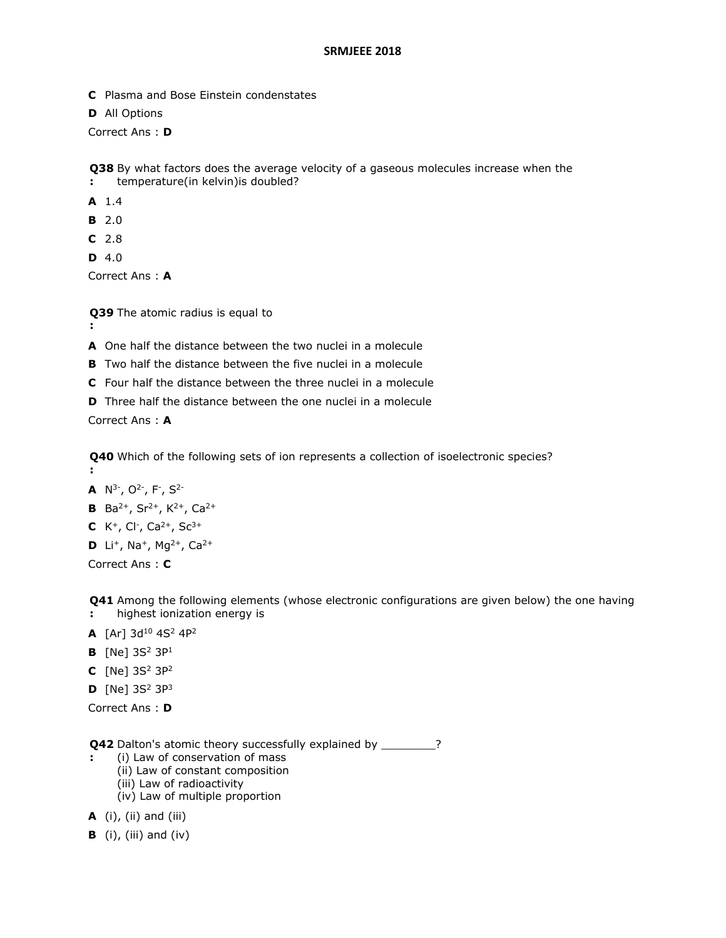- **C** Plasma and Bose Einstein condenstates
- **D** All Options

Correct Ans : **D**

**Q38**  By what factors does the average velocity of a gaseous molecules increase when the **:** temperature(in kelvin)is doubled?

- **A** 1.4
- **B** 2.0
- **C** 2.8
- **D** 4.0

Correct Ans : **A**

**Q39**  The atomic radius is equal to

- **:**
- **A** One half the distance between the two nuclei in a molecule
- **B** Two half the distance between the five nuclei in a molecule
- **C** Four half the distance between the three nuclei in a molecule
- **D** Three half the distance between the one nuclei in a molecule

Correct Ans : **A**

**Q40**  Which of the following sets of ion represents a collection of isoelectronic species? **:**

- **A**  $N^3$ <sup>-</sup>,  $O^2$ <sup>-</sup>,  $F$ <sup>-</sup>,  $S^2$ <sup>-</sup>
- **B** Ba<sup>2+</sup>, Sr<sup>2+</sup>, K<sup>2+</sup>, Ca<sup>2+</sup>
- **C** K<sup>+</sup>, Cl<sup>-</sup>, Ca<sup>2+</sup>, Sc<sup>3+</sup>
- **D** Li<sup>+</sup>, Na<sup>+</sup>, Mg<sup>2+</sup>, Ca<sup>2+</sup>

Correct Ans : **C**

**Q41**  Among the following elements (whose electronic configurations are given below) the one having

- **:** highest ionization energy is
- **A** [Ar] 3d<sup>10</sup> 4S<sup>2</sup> 4P<sup>2</sup>
- **B**  $[Ne] 3S^2 3P^1$
- **C**  $[Ne] 3S^2 3P^2$
- **D**  $[Ne]$  3S<sup>2</sup> 3P<sup>3</sup>

Correct Ans : **D**

**Q42** Dalton's atomic theory successfully explained by \_\_\_\_\_\_\_\_? **:**

- (i) Law of conservation of mass
- (ii) Law of constant composition
- (iii) Law of radioactivity
- (iv) Law of multiple proportion
- **A** (i), (ii) and (iii)
- **B** (i), (iii) and (iv)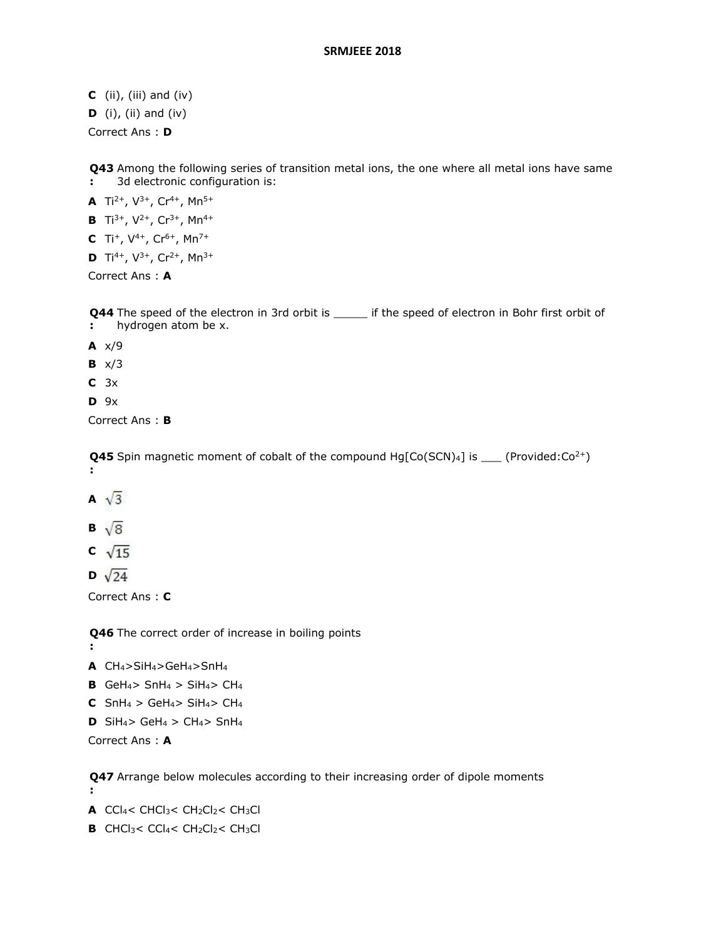- **C** (ii), (iii) and (iv)
- **D** (i), (ii) and (iv)

Correct Ans : **D**

**Q43**  Among the following series of transition metal ions, the one where all metal ions have same **:** 3d electronic configuration is:

**A** Ti<sup>2+</sup>,  $V^{3+}$ , Cr<sup>4+</sup>, Mn<sup>5+</sup>

- **B** Ti<sup>3+</sup>, V<sup>2+</sup>, Cr<sup>3+</sup>, Mn<sup>4+</sup>
- **C** Ti<sup>+</sup>,  $V^{4+}$ , Cr<sup>6+</sup>, Mn<sup>7+</sup>
- **D** Ti<sup>4+</sup>, V<sup>3+</sup>, Cr<sup>2+</sup>, Mn<sup>3+</sup>

Correct Ans : **A**

**Q44** The speed of the electron in 3rd orbit is \_\_\_\_\_\_ if the speed of electron in Bohr first orbit of **:** hydrogen atom be x.

- **A** x/9
- **B** x/3
- **C** 3x
- **D** 9x

Correct Ans : **B**

**Q45** Spin magnetic moment of cobalt of the compound Hg[Co(SCN)4] is \_\_\_ (Provided:Co<sup>2+</sup>) **:**

- A  $\sqrt{3}$
- **B**  $\sqrt{8}$
- $\sqrt{15}$
- **D**  $\sqrt{24}$

Correct Ans : **C**

**Q46**  The correct order of increase in boiling points

**:**

**:**

- **A** CH4>SiH4>GeH4>SnH<sup>4</sup>
- **B** GeH<sub>4</sub> $>$  SnH<sub>4</sub> $>$  SiH<sub>4</sub> $>$  CH<sub>4</sub>
- **C** SnH<sub>4</sub> > GeH<sub>4</sub> > SiH<sub>4</sub> > CH<sub>4</sub>
- **D** SiH<sub>4</sub> $>$  GeH<sub>4</sub> $>$  CH<sub>4</sub> $>$  SnH<sub>4</sub>

Correct Ans : **A**

**Q47**  Arrange below molecules according to their increasing order of dipole moments

**A** CCl<sub>4</sub>< CHCl<sub>3</sub>< CH<sub>2</sub>Cl<sub>2</sub>< CH<sub>3</sub>Cl

**B** CHCl<sub>3</sub>< CCl<sub>4</sub>< CH<sub>2</sub>Cl<sub>2</sub>< CH<sub>3</sub>Cl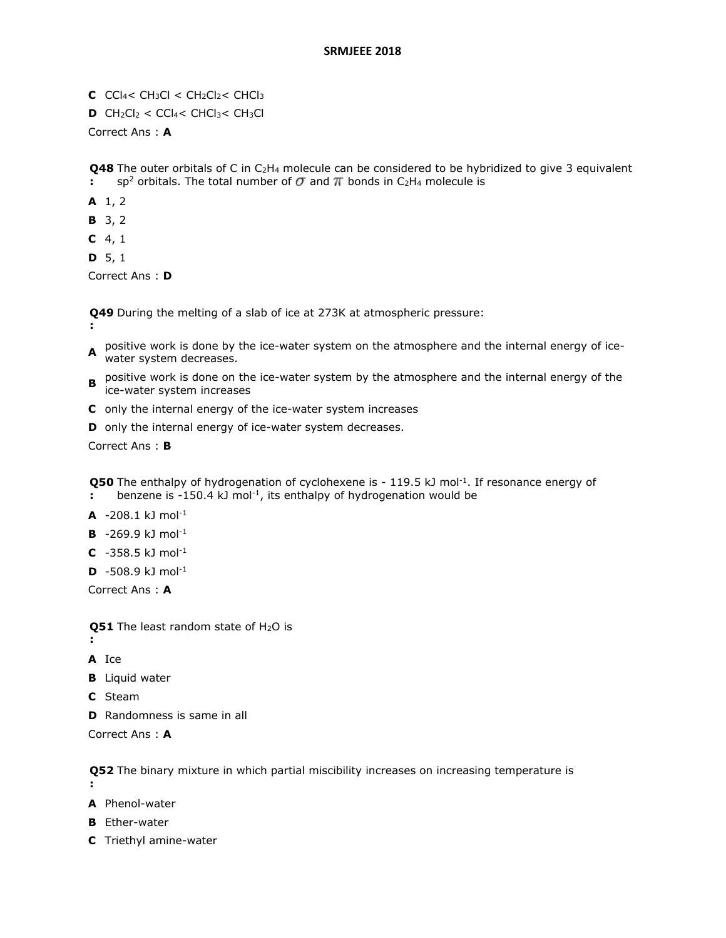- **C**  $CCl_4 < CH_3Cl < CH_2Cl_2 < CHCl_3$
- **D** CH<sub>2</sub>Cl<sub>2</sub> < CCl<sub>4</sub> < CHCl<sub>3</sub> < CH<sub>3</sub>Cl

Correct Ans : **A**

**Q48** The outer orbitals of C in C<sub>2</sub>H<sub>4</sub> molecule can be considered to be hybridized to give 3 equivalent **:** sp<sup>2</sup> orbitals. The total number of  $\sigma$  and  $\pi$  bonds in C<sub>2</sub>H<sub>4</sub> molecule is

- **A** 1, 2
- **B** 3, 2
- **C** 4, 1
- **D** 5, 1

Correct Ans : **D**

**Q49**  During the melting of a slab of ice at 273K at atmospheric pressure:

- **:**
- **A** positive work is done by the ice-water system on the atmosphere and the internal energy of ice-<br>**A** water system desystess water system decreases.
- **B** positive work is done on the ice-water system by the atmosphere and the internal energy of the internal energy of the ice-water system increases
- **C** only the internal energy of the ice-water system increases
- **D** only the internal energy of ice-water system decreases.

Correct Ans : **B**

**Q50** The enthalpy of hydrogenation of cyclohexene is - 119.5 kJ mol<sup>-1</sup>. If resonance energy of

- **:** benzene is -150.4 kJ mol<sup>-1</sup>, its enthalpy of hydrogenation would be
- **A** -208.1 kJ mol-1
- **B** -269.9 kJ mol-1
- **C** -358.5 kJ mol-1
- **D**  $-508.9$  kJ mol<sup>-1</sup>

Correct Ans : **A**

**Q51** The least random state of H<sub>2</sub>O is

**A** Ice

**:**

- **B** Liquid water
- **C** Steam
- **D** Randomness is same in all

Correct Ans : **A**

**Q52**  The binary mixture in which partial miscibility increases on increasing temperature is

**:**

- **A** Phenol-water
- **B** Ether-water
- **C** Triethyl amine-water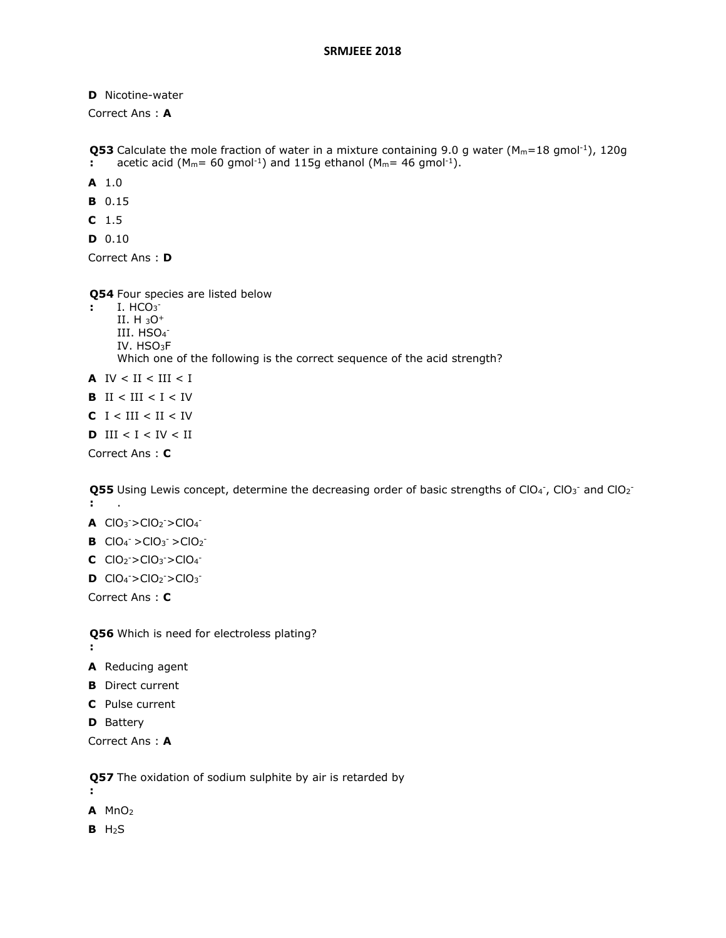**D** Nicotine-water

Correct Ans : **A**

```
Q53 Calculate the mole fraction of water in a mixture containing 9.0 g water (M_m=18 gmol<sup>-1</sup>), 120g
:
     acetic acid (M_m= 60 gmol<sup>-1</sup>) and 115g ethanol (M_m= 46 gmol<sup>-1</sup>).
```
- **A** 1.0
- **B** 0.15
- **C** 1.5
- **D** 0.10

Correct Ans : **D**

**Q54**  Four species are listed below

- **:** I. HCO<sup>3</sup> II. H <sup>3</sup>O<sup>+</sup>
	- III. HSO<sub>4</sub>-IV. HSO3F Which one of the following is the correct sequence of the acid strength?
- **A**  $IV < II < III < II$
- **B** II < III <  $I < IV$
- **C**  $I < III < II < IV$
- **D**  $III < I < IV < II$

Correct Ans : **C**

Q55 Using Lewis concept, determine the decreasing order of basic strengths of ClO<sub>4</sub>, ClO<sub>3</sub><sup>-</sup> and ClO<sub>2</sub><sup>-</sup> **:** .

- **A**  $ClO_3$ <sup>-</sup>> $ClO_2$ <sup>-</sup>> $ClO_4$ <sup>-</sup>
- **B**  $ClO_4^- > ClO_3^- > ClO_2^-$
- **C**  $ClO_2^- > ClO_3^- > ClO_4^-$
- **D**  $ClO_4^-$ > $ClO_2^-$ > $ClO_3^-$

Correct Ans : **C**

**Q56**  Which is need for electroless plating?

- **:**
- **A** Reducing agent
- **B** Direct current
- **C** Pulse current
- **D** Battery

Correct Ans : **A**

**Q57**  The oxidation of sodium sulphite by air is retarded by

**A** MnO<sup>2</sup>

**:**

**B** H2S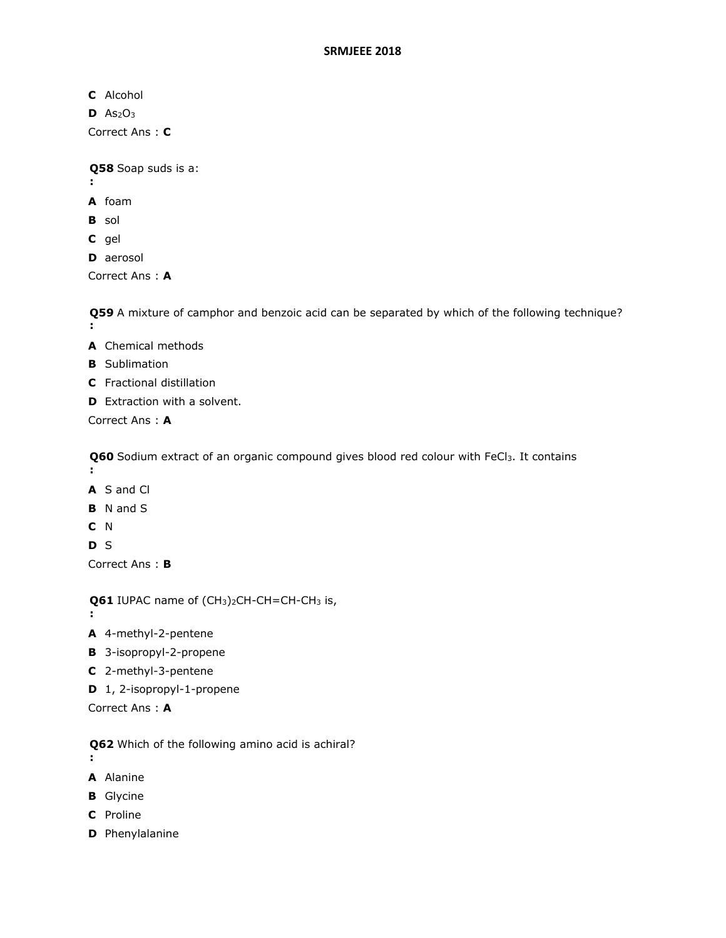- **C** Alcohol
- $D$  As<sub>2</sub>O<sub>3</sub>

Correct Ans : **C**

**Q58**  Soap suds is a:

- **:**
- **A** foam
- **B** sol
- **C** gel
- **D** aerosol

Correct Ans : **A**

**Q59**  A mixture of camphor and benzoic acid can be separated by which of the following technique? **:**

- **A** Chemical methods
- **B** Sublimation
- **C** Fractional distillation
- **D** Extraction with a solvent.

Correct Ans : **A**

**Q60**  Sodium extract of an organic compound gives blood red colour with FeCl3. It contains **:**

- **A** S and Cl
- **B** N and S
- **C** N

**D** S

**:**

Correct Ans : **B**

**Q61** IUPAC name of (CH<sub>3</sub>)<sub>2</sub>CH-CH=CH-CH<sub>3</sub> is,

- **A** 4-methyl-2-pentene
- **B** 3-isopropyl-2-propene
- **C** 2-methyl-3-pentene
- **D** 1, 2-isopropyl-1-propene
- Correct Ans : **A**
- **Q62**  Which of the following amino acid is achiral?
- **:**
- **A** Alanine
- **B** Glycine
- **C** Proline
- **D** Phenylalanine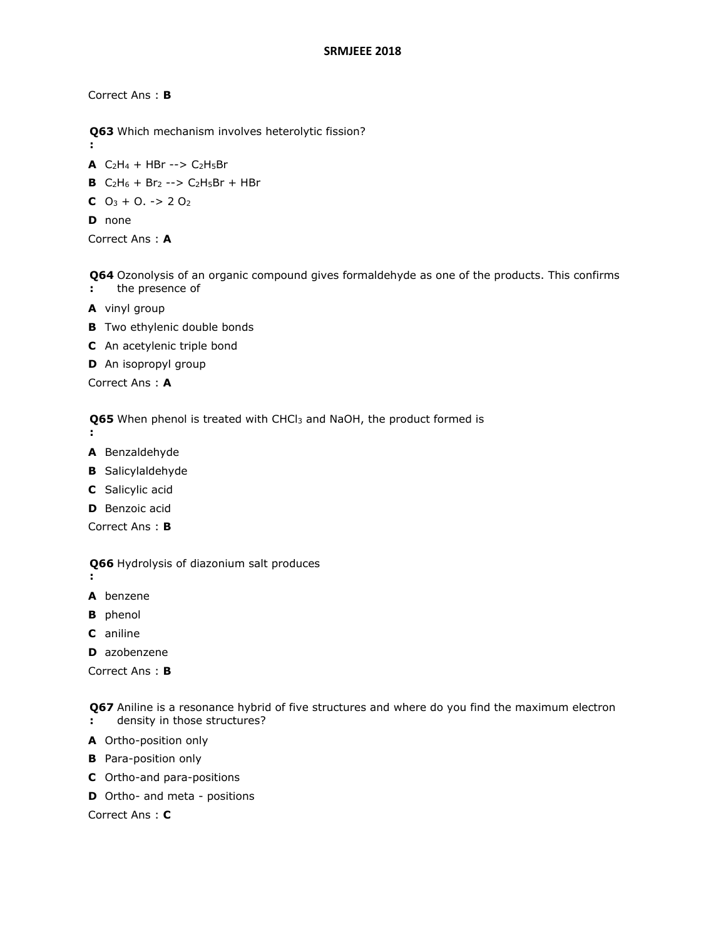Correct Ans : **B**

- **Q63**  Which mechanism involves heterolytic fission?
- **A**  $C_2H_4$  + HBr -->  $C_2H_5Br$
- **B** C2H<sup>6</sup> + Br<sup>2</sup> --> C2H5Br + HBr
- **C**  $O_3 + O_1 \rightarrow 2 O_2$

**D** none

**:**

Correct Ans : **A**

**Q64**  Ozonolysis of an organic compound gives formaldehyde as one of the products. This confirms **:** the presence of

- **A** vinyl group
- **B** Two ethylenic double bonds
- **C** An acetylenic triple bond
- **D** An isopropyl group

Correct Ans : **A**

**Q65**  When phenol is treated with CHCl<sup>3</sup> and NaOH, the product formed is

**:**

**:**

- **A** Benzaldehyde
- **B** Salicylaldehyde
- **C** Salicylic acid
- **D** Benzoic acid

Correct Ans : **B**

**Q66**  Hydrolysis of diazonium salt produces

- **A** benzene
- **B** phenol
- **C** aniline
- **D** azobenzene

Correct Ans : **B**

**Q67**  Aniline is a resonance hybrid of five structures and where do you find the maximum electron **:** density in those structures?

- **A** Ortho-position only
- **B** Para-position only
- **C** Ortho-and para-positions
- **D** Ortho- and meta positions

Correct Ans : **C**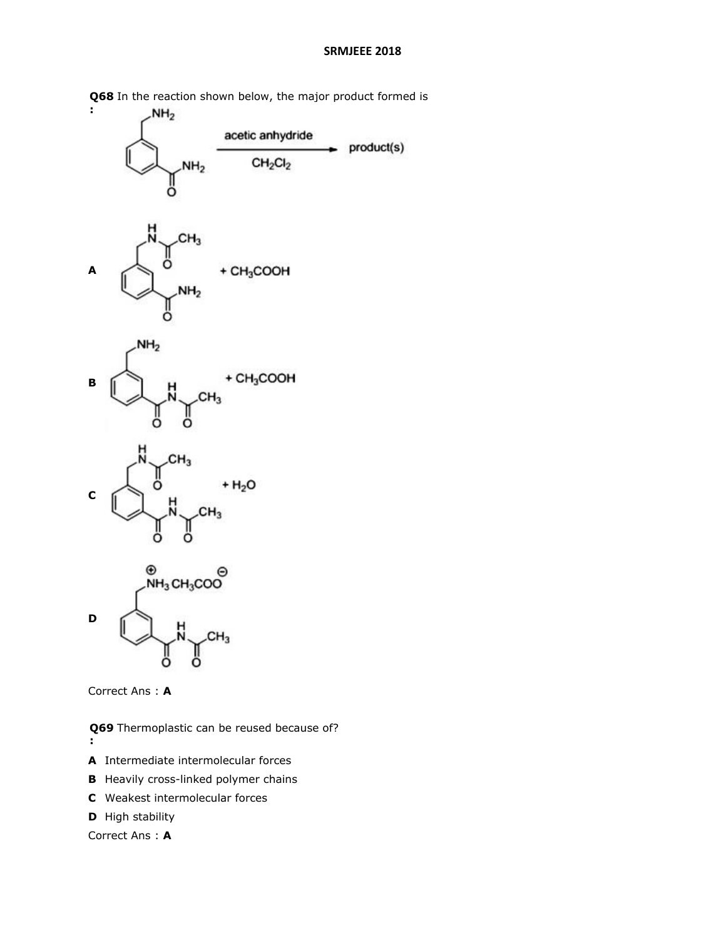

**Q68**  In the reaction shown below, the major product formed is



**Q69**  Thermoplastic can be reused because of? **:**

- **A** Intermediate intermolecular forces
- **B** Heavily cross-linked polymer chains
- **C** Weakest intermolecular forces
- **D** High stability

Correct Ans : **A**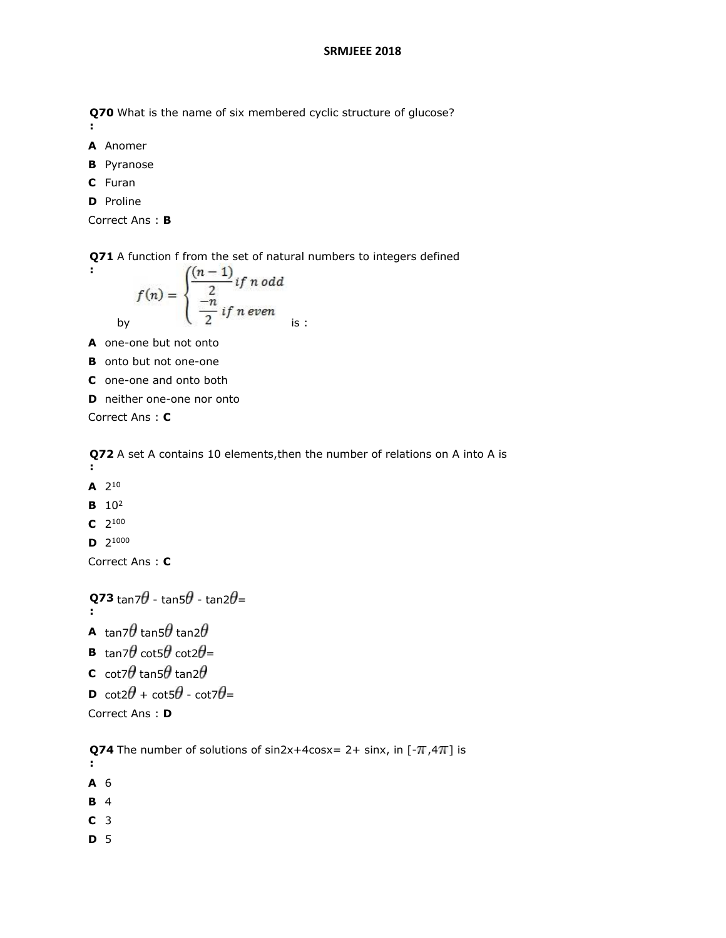**Q70**  What is the name of six membered cyclic structure of glucose?

**A** Anomer

**:**

- **B** Pyranose
- **C** Furan
- **D** Proline

```
Correct Ans : B
```
**Q71**  A function f from the set of natural numbers to integers defined

$$
f(n) = \begin{cases} \frac{(n-1)}{2} & \text{if } n \text{ odd} \\ \frac{-n}{2} & \text{if } n \text{ even} \end{cases}
$$

**A** one-one but not onto

- **B** onto but not one-one
- **C** one-one and onto both
- **D** neither one-one nor onto

Correct Ans : **C**

**Q72**  A set A contains 10 elements,then the number of relations on A into A is

- **:**
- $A$  2<sup>10</sup>
- **B** 10<sup>2</sup>
- $C$  2<sup>100</sup>
- **D** 2 1000

Correct Ans : **C**

```
Q73 
 :
       tan7U - tan5U - tan2U=
A tan7\theta tan5\theta tan2\thetaB tan7\theta cot5\theta cot2\theta=
C cot7\theta tan5\theta tan2\thetaD cot2\theta + cot5\theta - cot7\theta=
```
Correct Ans : **D**

**Q74** The number of solutions of  $sin2x+4cosx= 2+ sinx$ , in  $[-\pi, 4\pi]$  is

- **:**
- **A** 6
- **B** 4
- **C** 3
- **D** 5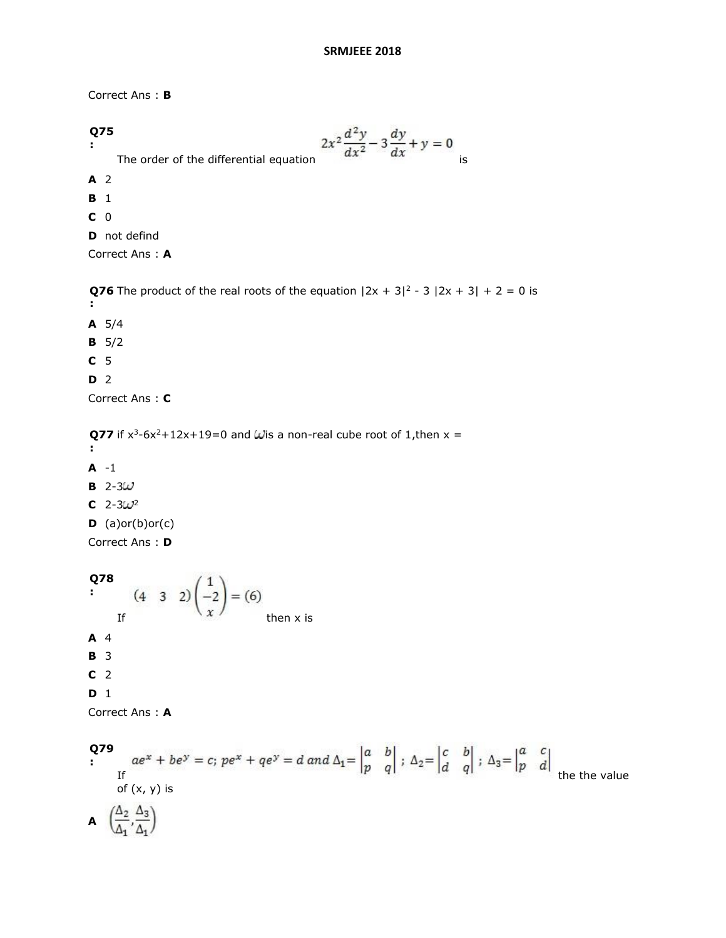Correct Ans : **B**

**Q75 :** The order of the differential equation  $2x^2 \frac{d^2y}{dx^2} - 3\frac{dy}{dx} + y = 0$  is **A** 2 **B** 1

- **C** 0
- **D** not defind

Correct Ans : **A**

**Q76** The product of the real roots of the equation  $|2x + 3|^2 - 3|2x + 3| + 2 = 0$  is **:**

- **A** 5/4
- **B** 5/2
- **C** 5
- **D** 2

Correct Ans : **C**

**Q77** if  $x^3$ -6x<sup>2</sup>+12x+19=0 and Wis a non-real cube root of 1, then  $x =$ 

- **:**
- **A** -1
- **B**  $2-3\omega$
- $C$  2-3 $\omega$ <sup>2</sup>
- $D$  (a)or(b)or(c)

Correct Ans : **D**

```
Q78
```

```
:
      (4 3 2)\left(\frac{1}{x}\right) = (6)<br>If then x is
A 4
B 3
C 2
D 1
```
Correct Ans : **A**

```
Q79
```

```
:
     If \frac{1}{2} the the value
     of (x, y) is
A \left(\frac{\Delta_2}{\Delta_1}, \frac{\Delta_3}{\Delta_1}\right)
```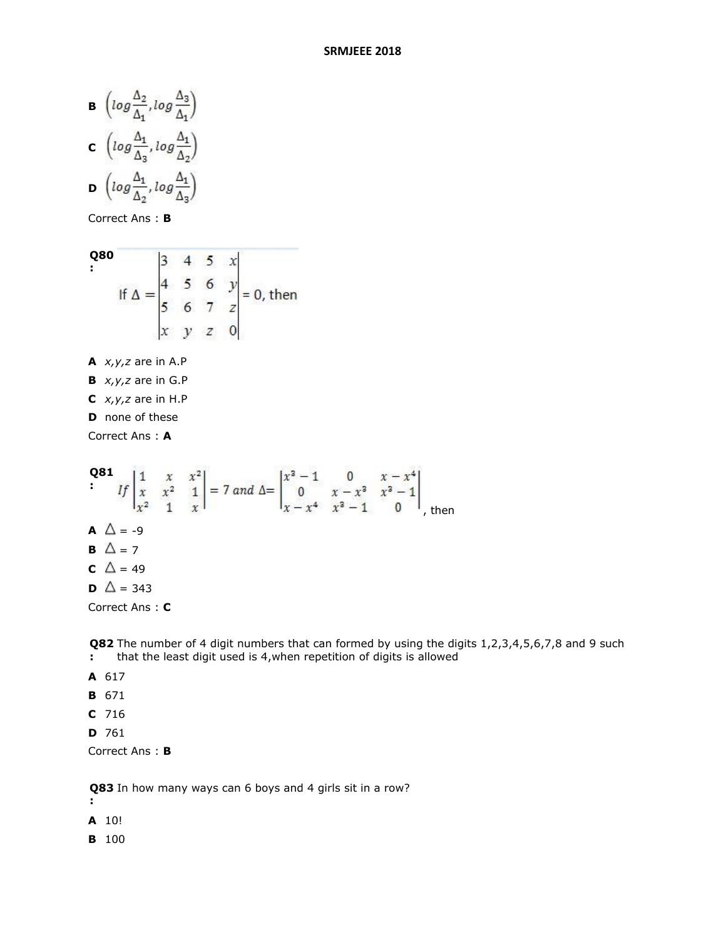**B** 
$$
\left( \log \frac{\Delta_2}{\Delta_1}, \log \frac{\Delta_3}{\Delta_1} \right)
$$
  
\n**C**  $\left( \log \frac{\Delta_1}{\Delta_3}, \log \frac{\Delta_1}{\Delta_2} \right)$   
\n**D**  $\left( \log \frac{\Delta_1}{\Delta_2}, \log \frac{\Delta_1}{\Delta_3} \right)$ 

Correct Ans : **B**

**Q80**  
\n
$$
= \begin{vmatrix}\n3 & 4 & 5 & x \\
4 & 5 & 6 & y \\
5 & 6 & 7 & z \\
x & y & z & 0\n\end{vmatrix} = 0, \text{ then}
$$

- **A** *x,y,z* are in A.P
- **B** *x,y,z* are in G.P
- **C** *x,y,z* are in H.P
- **D** none of these

Correct Ans : **A**

**Q81**  
\n
$$
\begin{vmatrix} 1 & x & x^{2} \\ x & x^{2} & 1 \\ x^{2} & 1 & x \end{vmatrix} = 7 \text{ and } \Delta = \begin{vmatrix} x^{3} - 1 & 0 & x - x^{4} \\ 0 & x - x^{3} & x^{3} - 1 \\ x - x^{4} & x^{3} - 1 & 0 \end{vmatrix}
$$
, then  
\n**A**  $\Delta = -9$   
\n**B**  $\Delta = 7$   
\n**C**  $\Delta = 49$   
\n**D**  $\Delta = 343$   
\nCorrect Ans: **C**

**Q82 :** The number of 4 digit numbers that can formed by using the digits 1,2,3,4,5,6,7,8 and 9 such that the least digit used is 4,when repetition of digits is allowed

- **A** 617
- **B** 671
- **C** 716
- **D** 761

Correct Ans : **B**

**Q83**  In how many ways can 6 boys and 4 girls sit in a row?

**:**

**A** 10!

**B** 100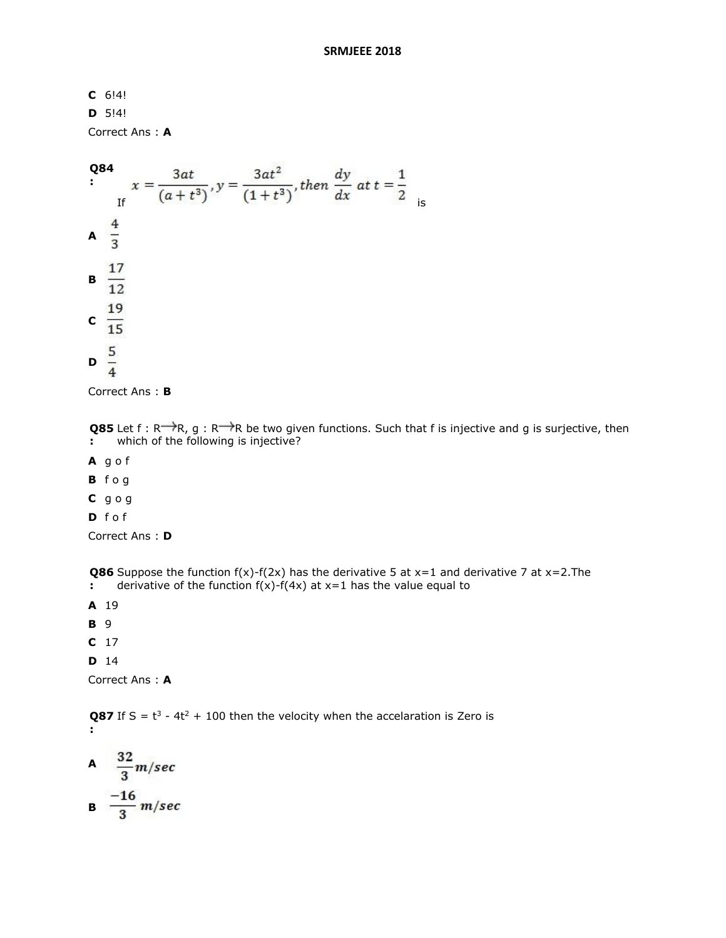**C** 6!4!

**D** 5!4!

Correct Ans : **A**



Correct Ans : **B**

**Q85** Let f : R<sup>---</sup> $\rightarrow$ R, g : R<sup>--- $\rightarrow$ </sup>R be two given functions. Such that f is injective and g is surjective, then **:** which of the following is injective?

- **A** g o f
- **B** f o g
- **C** g o g
- **D** f o f

Correct Ans : **D**

**Q86** Suppose the function  $f(x)$ - $f(2x)$  has the derivative 5 at  $x=1$  and derivative 7 at  $x=2$ . The **:** derivative of the function  $f(x)$ - $f(4x)$  at  $x=1$  has the value equal to

- **A** 19
- **B** 9
- **C** 17
- **D** 14

Correct Ans : **A**

**Q87** If S =  $t^3$  - 4 $t^2$  + 100 then the velocity when the accelaration is Zero is **:**

A 
$$
\frac{32}{3}
$$
m/sec  
B  $\frac{-16}{3}$ m/sec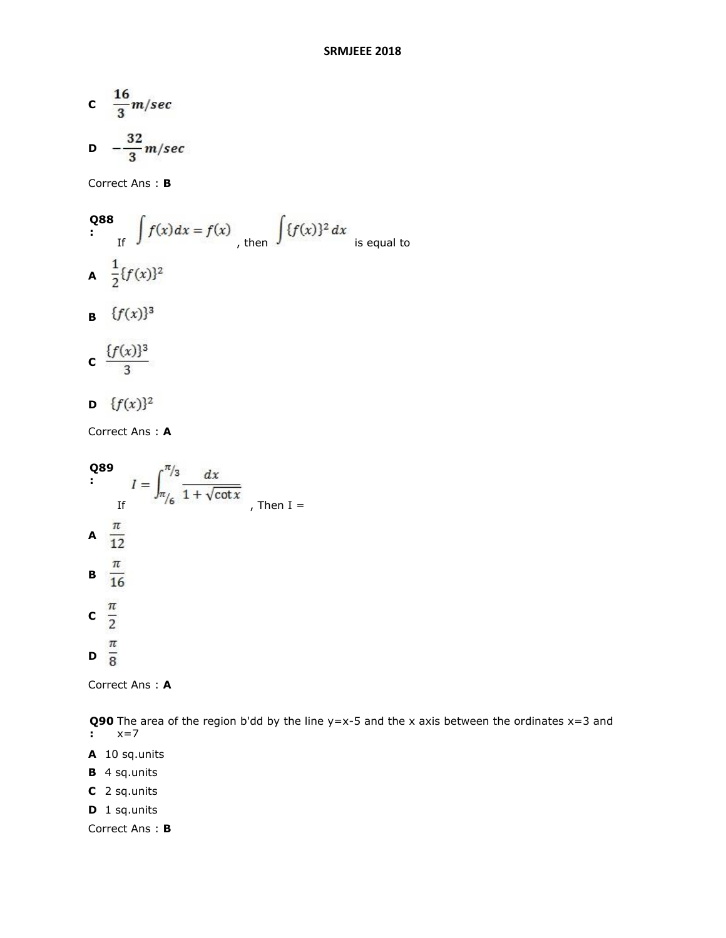$$
c \quad \frac{16}{3}m/sec
$$

$$
D = \frac{32}{3} m/sec
$$

Correct Ans : **B**

**Q88**  
\n
$$
\int_{\text{If}} f(x) dx = f(x)
$$
\n
$$
\int_{\text{then}} \int \{f(x)\}^2 dx
$$
\nis equal to\n
$$
A = \frac{1}{2} \{f(x)\}^2
$$

**B**  ${f(x)}^3$ 

$$
c \frac{\{f(x)\}^3}{3}
$$

**D**  $\{f(x)\}^2$ 

Correct Ans : **A**

Q89  
\n
$$
I = \int_{\pi/6}^{\pi/3} \frac{dx}{1 + \sqrt{\cot x}}
$$
\nThen I =  
\nA  $\frac{\pi}{12}$   
\nB  $\frac{\pi}{16}$   
\nC  $\frac{\pi}{2}$   
\nD  $\frac{\pi}{8}$ 

Correct Ans : **A**

**Q90** The area of the region b'dd by the line y=x-5 and the x axis between the ordinates x=3 and **:** x=7

- **A** 10 sq.units
- **B** 4 sq.units
- **C** 2 sq.units
- **D** 1 sq.units

Correct Ans : **B**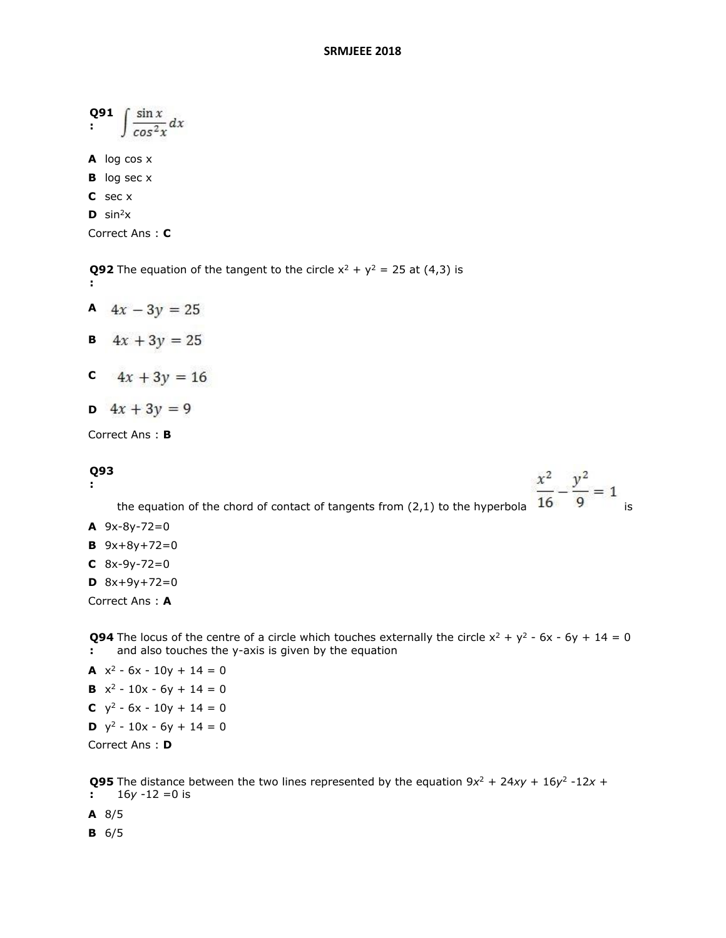| O91<br>$\sin x$<br>x<br>cos <sup>2</sup> |                                 |
|------------------------------------------|---------------------------------|
|                                          | A $log cos x$                   |
|                                          | <b>B</b> $log$ sec $x$          |
|                                          | $C$ sec $x$                     |
|                                          | $\mathbf{D}$ sin <sup>2</sup> x |
|                                          |                                 |

Correct Ans : **C**

**Q92** The equation of the tangent to the circle  $x^2 + y^2 = 25$  at (4,3) is

A  $4x - 3y = 25$ 

**B**  $4x + 3y = 25$ 

- **C**  $4x + 3y = 16$
- **D**  $4x + 3y = 9$

Correct Ans : **B**

# **Q93**

**:**

**:**

the equation of the chord of contact of tangents from (2,1) to the hyperbola  $\frac{x^2}{16} - \frac{y^2}{9} = 1$  is  $A \, 9x-8y-72=0$ **B**  $9x+8y+72=0$  $C$  8x-9y-72=0  $D \quad 8x + 9y + 72 = 0$ Correct Ans : **A Q94** The locus of the centre of a circle which touches externally the circle  $x^2 + y^2 - 6x - 6y + 14 = 0$ **:** and also touches the y-axis is given by the equation

```
A x^2 - 6x - 10y + 14 = 0B x^2 - 10x - 6y + 14 = 0C y^2 - 6x - 10y + 14 = 0D y^2 - 10x - 6y + 14 = 0Correct Ans : D
```
**Q95** The distance between the two lines represented by the equation  $9x^2 + 24xy + 16y^2 - 12x +$ **:** 16*y* -12 =0 is

**A** 8/5

**B** 6/5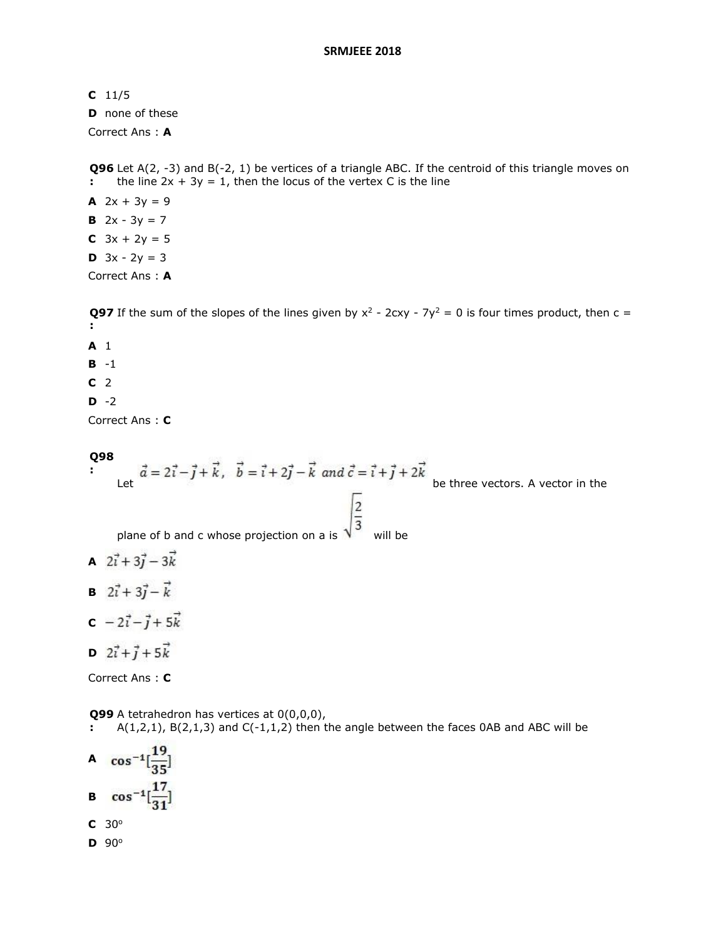# **C** 11/5

**D** none of these

Correct Ans : **A**

**Q96** Let A(2, -3) and B(-2, 1) be vertices of a triangle ABC. If the centroid of this triangle moves on **:** the line  $2x + 3y = 1$ , then the locus of the vertex C is the line

**A**  $2x + 3y = 9$ **B**  $2x - 3y = 7$ **C**  $3x + 2y = 5$ **D**  $3x - 2y = 3$ Correct Ans : **A**

**Q97** If the sum of the slopes of the lines given by  $x^2$  - 2cxy - 7y<sup>2</sup> = 0 is four times product, then c = **: A** 1

- 
- **B** -1
- **C** 2
- **D** -2

Correct Ans : **C**

# **Q98**

**:**  $\vec{a} = 2\vec{i} - \vec{j} + \vec{k}$ ,  $\vec{b} = \vec{i} + 2\vec{j} - \vec{k}$  and  $\vec{c} = \vec{i} + \vec{j} + 2\vec{k}$  be three vectors. A vector in the plane of b and c whose projection on a is  $\sqrt{\frac{2}{3}}$  will be **A**  $2\vec{i} + 3\vec{j} - 3\vec{k}$ **B**  $2\vec{i} + 3\vec{j} - \vec{k}$  $c - 2i - j + 5k$ 

**D**  $2\vec{i} + \vec{j} + 5\vec{k}$ 

Correct Ans : **C**

**Q99**  A tetrahedron has vertices at 0(0,0,0),

**:**  $A(1,2,1)$ ,  $B(2,1,3)$  and  $C(-1,1,2)$  then the angle between the faces 0AB and ABC will be

A  $\cos^{-1}[\frac{19}{25}]$ **B**  $\cos^{-1}[\frac{17}{31}]$ **C** 30<sup>o</sup>

**D** 90<sup>o</sup>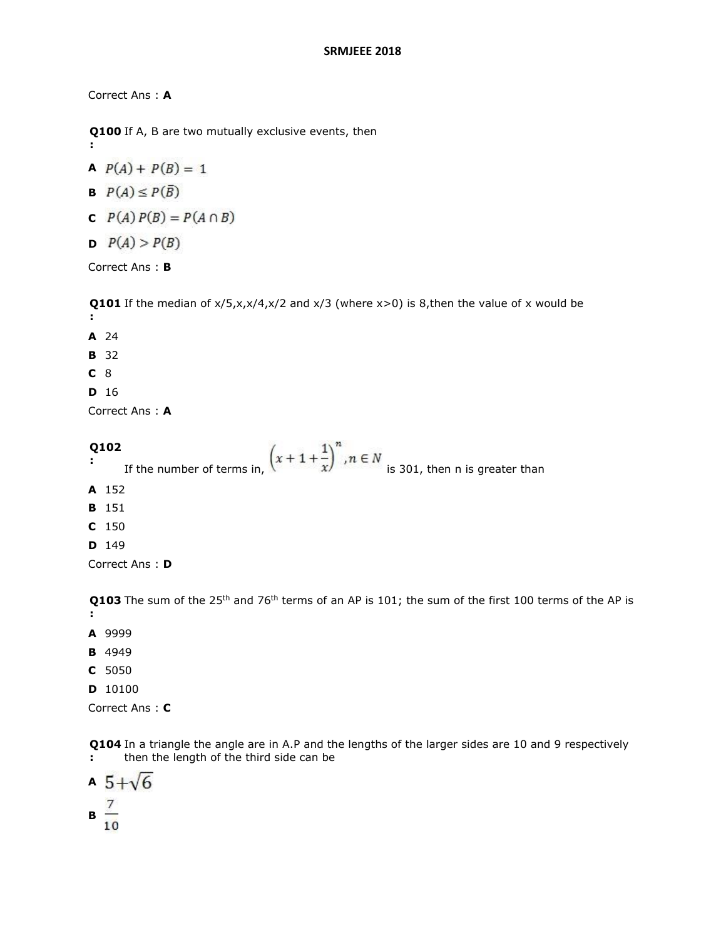Correct Ans : **A**

**:**

**Q100**  If A, B are two mutually exclusive events, then

$$
P(A) + P(B) = 1
$$

$$
B \quad P(A) \leq P(\overline{B})
$$

- **C**  $P(A) P(B) = P(A \cap B)$
- **D**  $P(A) > P(B)$

Correct Ans : **B**

**Q101** If the median of  $x/5, x, x/4, x/2$  and  $x/3$  (where  $x>0$ ) is 8, then the value of x would be **: A** 24

- **B** 32
- **C** 8
- **D** 16

Correct Ans : **A**

**Q102 :** If the number of terms in,  $\left(x+1+\frac{1}{x}\right)^n$ ,  $n \in N$  is 301, then n is greater than **A** 152 **B** 151 **C** 150 **D** 149

Correct Ans : **D**

**Q103** The sum of the 25<sup>th</sup> and 76<sup>th</sup> terms of an AP is 101; the sum of the first 100 terms of the AP is **:**

- **A** 9999
- **B** 4949
- **C** 5050
- **D** 10100

Correct Ans : **C**

**Q104**  In a triangle the angle are in A.P and the lengths of the larger sides are 10 and 9 respectively **:** then the length of the third side can be

$$
\begin{array}{c}\nA \quad 5 + \sqrt{6} \\
B \quad \frac{7}{10}\n\end{array}
$$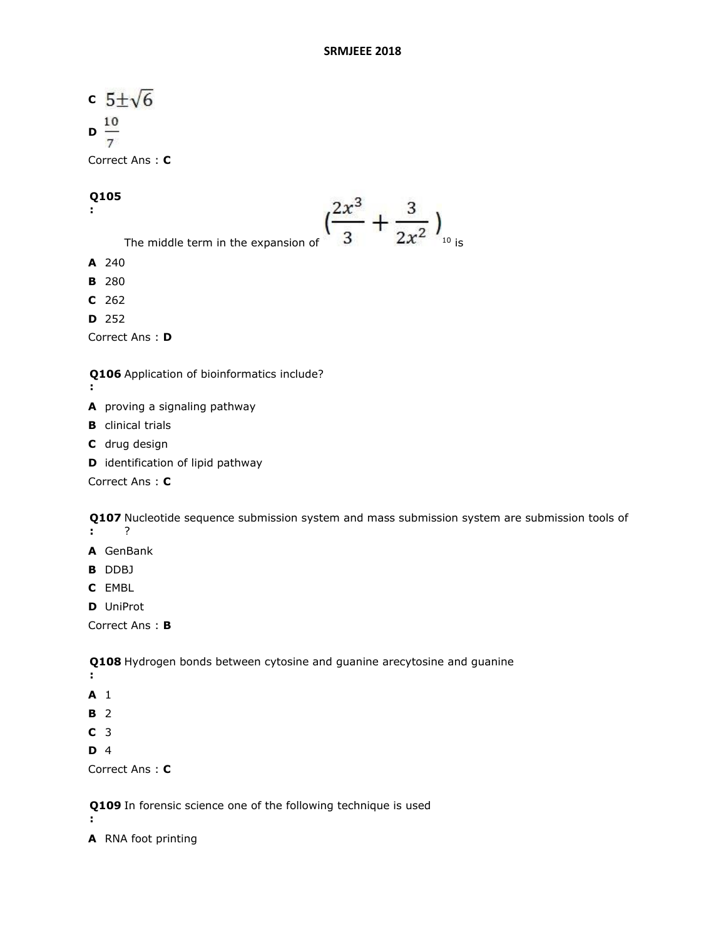```
c 5\pm\sqrt{6}D\frac{10}{7}
```
Correct Ans : **C**

### **Q105**

**:**

- The middle term in the expansion of  $\left(\frac{2x^3}{3} + \frac{3}{2x^2}\right)_{_{10}}$  is **A** 240
- **B** 280
- **C** 262
- **D** 252

Correct Ans : **D**

**Q106**  Application of bioinformatics include?

- **:**
- **A** proving a signaling pathway
- **B** clinical trials
- **C** drug design
- **D** identification of lipid pathway

Correct Ans : **C**

**Q107**  Nucleotide sequence submission system and mass submission system are submission tools of **:** ?

- **A** GenBank
- **B** DDBJ
- **C** EMBL
- **D** UniProt

Correct Ans : **B**

**Q108**  Hydrogen bonds between cytosine and guanine arecytosine and guanine

- **:**
- **A** 1
- **B** 2
- **C** 3
- **D** 4

```
Correct Ans : C
```
**Q109**  In forensic science one of the following technique is used **:**

**A** RNA foot printing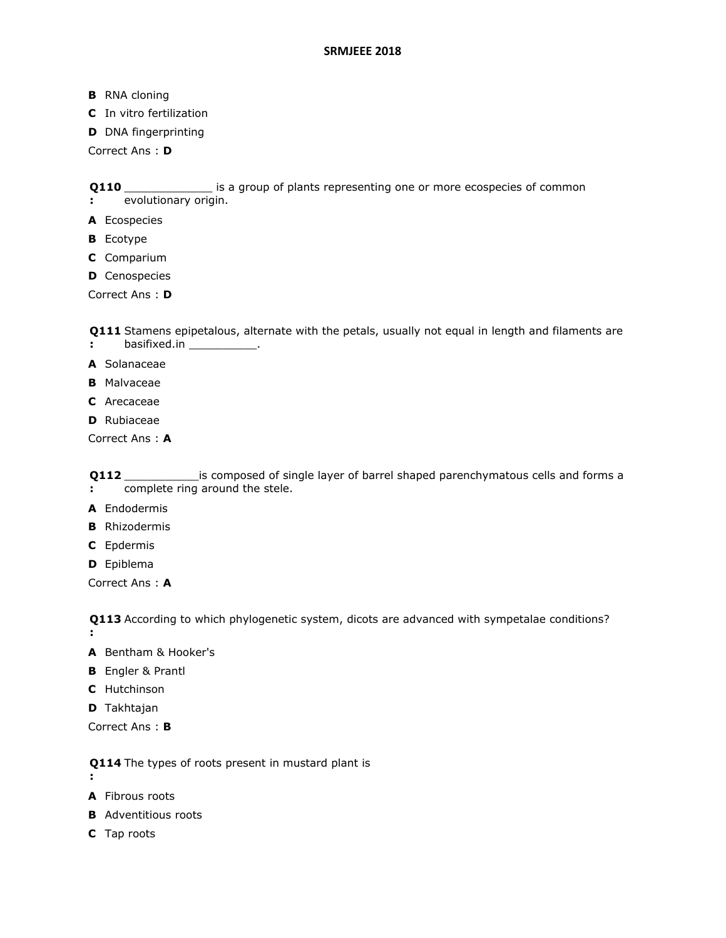- **B** RNA cloning
- **C** In vitro fertilization
- **D** DNA fingerprinting

Correct Ans : **D**

**Q110**  \_\_\_\_\_\_\_\_\_\_\_\_\_ is a group of plants representing one or more ecospecies of common

- **:** evolutionary origin.
- **A** Ecospecies
- **B** Ecotype
- **C** Comparium
- **D** Cenospecies

Correct Ans : **D**

**Q111**  Stamens epipetalous, alternate with the petals, usually not equal in length and filaments are

- **:** basifixed.in \_\_\_\_\_\_\_\_\_\_\_\_\_.
- **A** Solanaceae
- **B** Malvaceae
- **C** Arecaceae
- **D** Rubiaceae

Correct Ans : **A**

**Q112 :** \_\_\_\_\_\_\_\_\_\_\_is composed of single layer of barrel shaped parenchymatous cells and forms a complete ring around the stele.

- **A** Endodermis
- **B** Rhizodermis
- **C** Epdermis
- **D** Epiblema

Correct Ans : **A**

**Q113**  According to which phylogenetic system, dicots are advanced with sympetalae conditions?

**:**

**:**

- **A** Bentham & Hooker's
- **B** Engler & Prantl
- **C** Hutchinson
- **D** Takhtajan

Correct Ans : **B**

**Q114**  The types of roots present in mustard plant is

- **A** Fibrous roots
- **B** Adventitious roots
- **C** Tap roots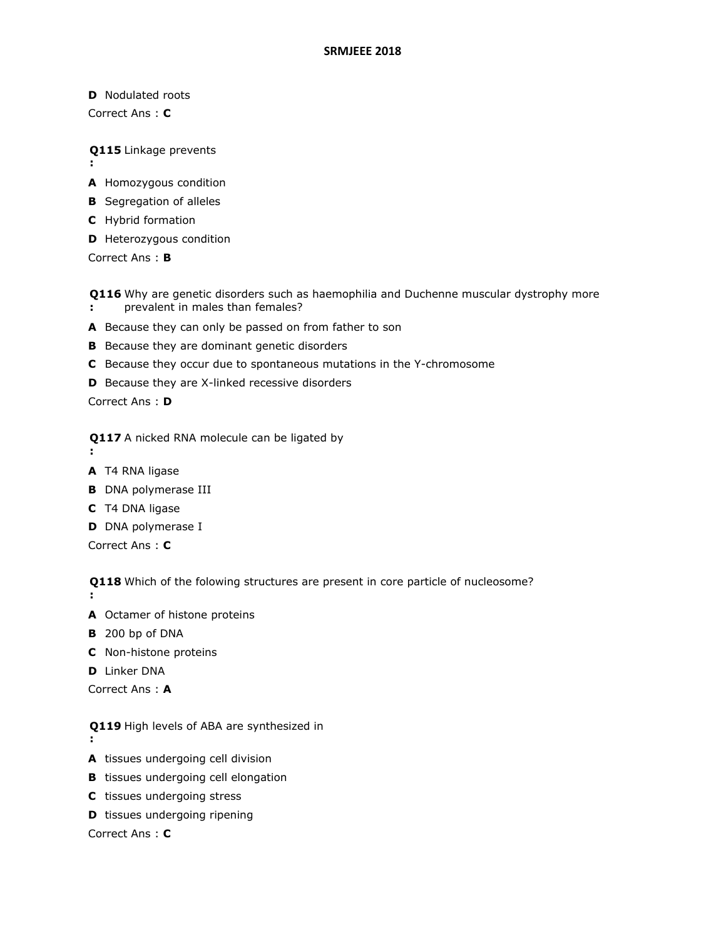**D** Nodulated roots

Correct Ans : **C**

**Q115**  Linkage prevents

- **:**
- **A** Homozygous condition
- **B** Segregation of alleles
- **C** Hybrid formation
- **D** Heterozygous condition

Correct Ans : **B**

- **Q116**  Why are genetic disorders such as haemophilia and Duchenne muscular dystrophy more **:** prevalent in males than females?
- **A** Because they can only be passed on from father to son
- **B** Because they are dominant genetic disorders
- **C** Because they occur due to spontaneous mutations in the Y-chromosome
- **D** Because they are X-linked recessive disorders

Correct Ans : **D**

**Q117**  A nicked RNA molecule can be ligated by

**:**

**:**

- **A** T4 RNA ligase
- **B** DNA polymerase III
- **C** T4 DNA ligase
- **D** DNA polymerase I

Correct Ans : **C**

**Q118**  Which of the folowing structures are present in core particle of nucleosome?

- **A** Octamer of histone proteins
- **B** 200 bp of DNA
- **C** Non-histone proteins
- **D** Linker DNA

Correct Ans : **A**

- **Q119**  High levels of ABA are synthesized in **:**
- **A** tissues undergoing cell division
- **B** tissues undergoing cell elongation
- **C** tissues undergoing stress
- **D** tissues undergoing ripening

Correct Ans : **C**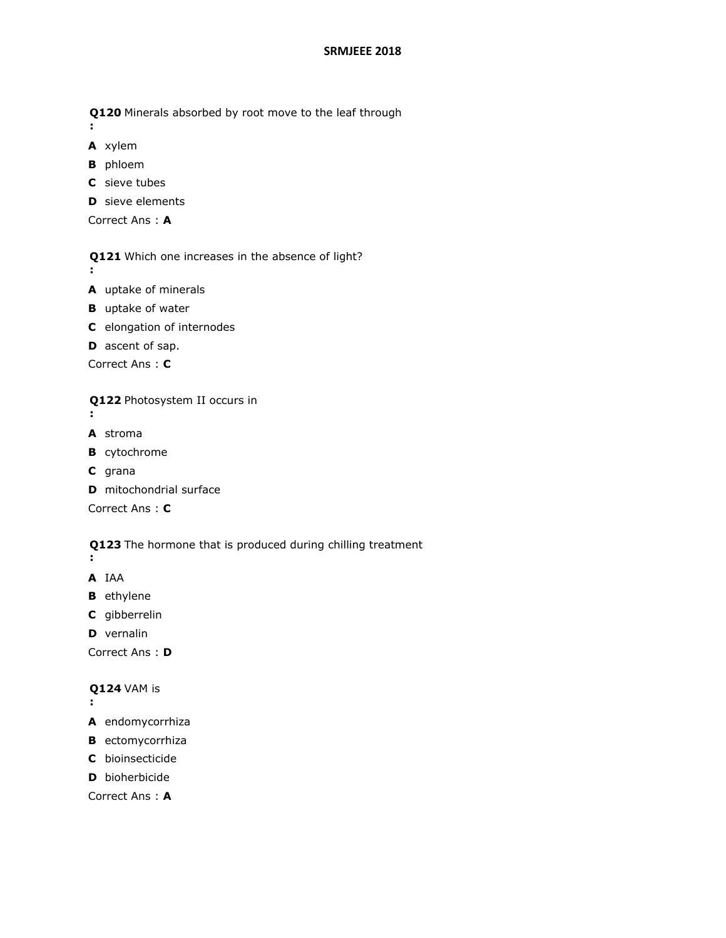**Q120**  Minerals absorbed by root move to the leaf through

```
A xylem
```
**:**

- **B** phloem
- **C** sieve tubes
- **D** sieve elements

```
Correct Ans : A
```
**Q121**  Which one increases in the absence of light?

- **:**
- **A** uptake of minerals
- **B** uptake of water
- **C** elongation of internodes
- **D** ascent of sap.

Correct Ans : **C**

**Q122**  Photosystem II occurs in

- **:**
- **A** stroma
- **B** cytochrome
- **C** grana
- **D** mitochondrial surface

Correct Ans : **C**

**Q123**  The hormone that is produced during chilling treatment

- **:**
- **A** IAA
- **B** ethylene
- **C** gibberrelin
- **D** vernalin

Correct Ans : **D**

# **Q124**  VAM is

- **:**
- **A** endomycorrhiza
- **B** ectomycorrhiza
- **C** bioinsecticide
- **D** bioherbicide

Correct Ans : **A**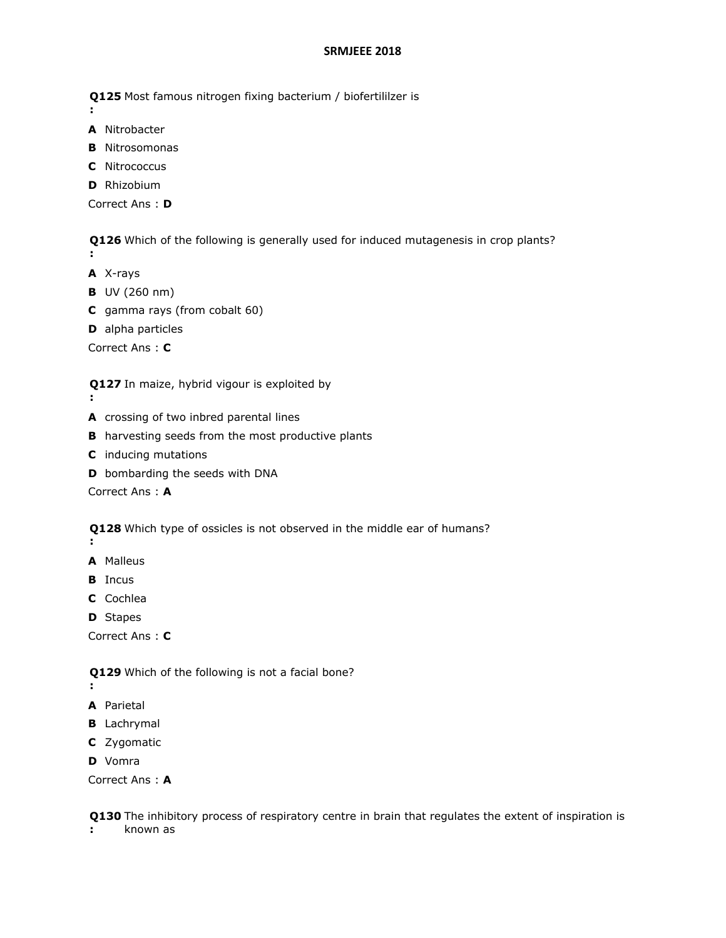**Q125**  Most famous nitrogen fixing bacterium / biofertililzer is

- **:**
- **A** Nitrobacter **B** Nitrosomonas
- **C** Nitrococcus
- 
- **D** Rhizobium

Correct Ans : **D**

**Q126**  Which of the following is generally used for induced mutagenesis in crop plants? **:**

- **A** X-rays
- **B** UV (260 nm)
- **C** gamma rays (from cobalt 60)
- **D** alpha particles

Correct Ans : **C**

**Q127**  In maize, hybrid vigour is exploited by

- **:**
- **A** crossing of two inbred parental lines
- **B** harvesting seeds from the most productive plants
- **C** inducing mutations
- **D** bombarding the seeds with DNA

Correct Ans : **A**

**Q128**  Which type of ossicles is not observed in the middle ear of humans?

- **:**
- **A** Malleus
- **B** Incus
- **C** Cochlea
- **D** Stapes

Correct Ans : **C**

**Q129**  Which of the following is not a facial bone?

- **:**
- **A** Parietal
- **B** Lachrymal
- **C** Zygomatic
- **D** Vomra

Correct Ans : **A**

**Q130**  The inhibitory process of respiratory centre in brain that regulates the extent of inspiration is

**:** known as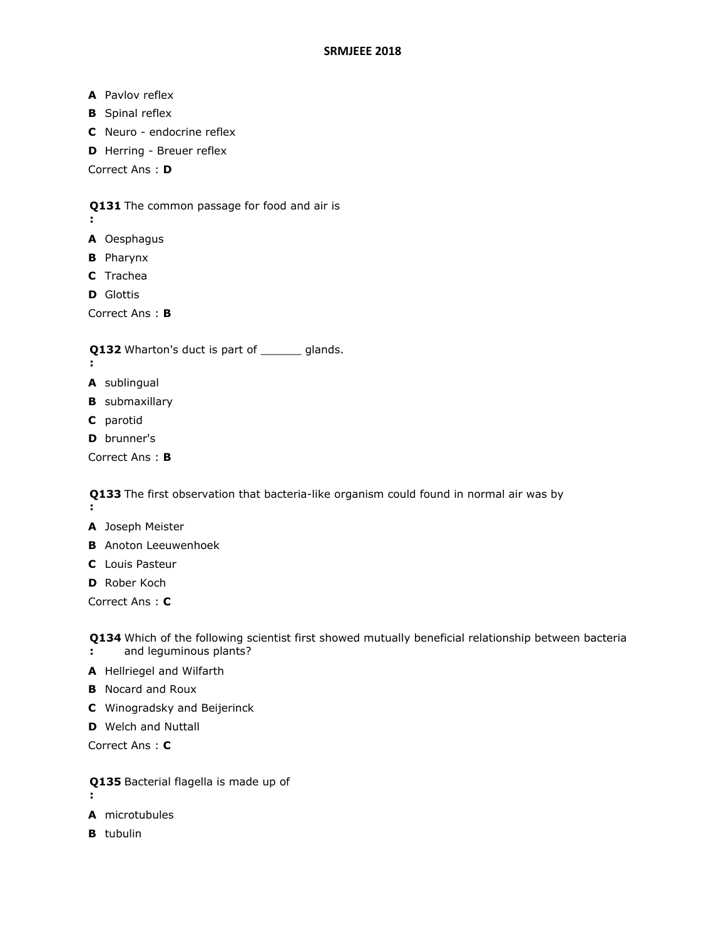- **A** Pavlov reflex
- **B** Spinal reflex
- **C** Neuro endocrine reflex
- **D** Herring Breuer reflex

Correct Ans : **D**

# **Q131**  The common passage for food and air is

**A** Oesphagus

**:**

- **B** Pharynx
- **C** Trachea
- **D** Glottis

Correct Ans : **B**

- **Q132** Wharton's duct is part of <u>equal</u> glands.
- **:**
- **A** sublingual
- **B** submaxillary
- **C** parotid
- **D** brunner's

Correct Ans : **B**

**Q133**  The first observation that bacteria-like organism could found in normal air was by **:**

- **A** Joseph Meister
- **B** Anoton Leeuwenhoek
- **C** Louis Pasteur

**D** Rober Koch

Correct Ans : **C**

**Q134**  Which of the following scientist first showed mutually beneficial relationship between bacteria **:** and leguminous plants?

- 
- **A** Hellriegel and Wilfarth
- **B** Nocard and Roux
- **C** Winogradsky and Beijerinck
- **D** Welch and Nuttall

Correct Ans : **C**

- **Q135**  Bacterial flagella is made up of
- **:**
- **A** microtubules
- **B** tubulin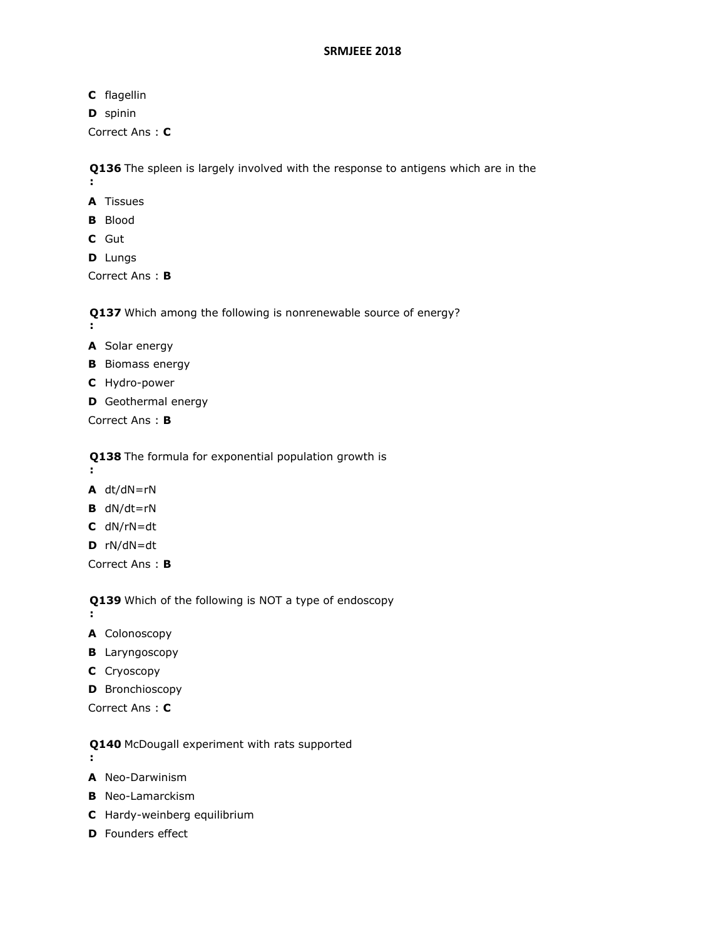- **C** flagellin
- **D** spinin

Correct Ans : **C**

**Q136**  The spleen is largely involved with the response to antigens which are in the

- **A** Tissues
- **B** Blood
- **C** Gut

**:**

**D** Lungs

Correct Ans : **B**

**Q137**  Which among the following is nonrenewable source of energy?

- **:**
- **A** Solar energy
- **B** Biomass energy
- **C** Hydro-power
- **D** Geothermal energy

Correct Ans : **B**

**Q138**  The formula for exponential population growth is

- **:**
- **A** dt/dN=rN
- **B** dN/dt=rN
- **C** dN/rN=dt
- **D** rN/dN=dt

Correct Ans : **B**

**Q139**  Which of the following is NOT a type of endoscopy

**:**

- **A** Colonoscopy
- **B** Laryngoscopy
- **C** Cryoscopy
- **D** Bronchioscopy
- Correct Ans : **C**
- **Q140**  McDougall experiment with rats supported
- **:**
- **A** Neo-Darwinism
- **B** Neo-Lamarckism
- **C** Hardy-weinberg equilibrium
- **D** Founders effect